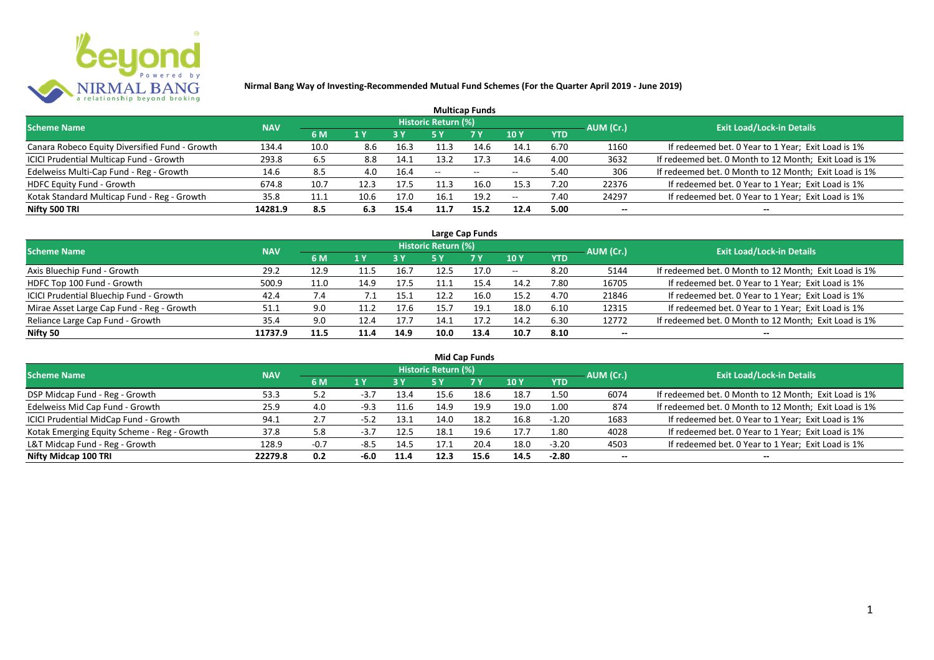

| <b>Multicap Funds</b>                          |            |      |      |            |                     |                          |                          |            |           |                                                       |  |  |  |  |
|------------------------------------------------|------------|------|------|------------|---------------------|--------------------------|--------------------------|------------|-----------|-------------------------------------------------------|--|--|--|--|
| <b>Scheme Name</b>                             | <b>NAV</b> |      |      |            | Historic Return (%) |                          |                          |            | AUM (Cr.) | <b>Exit Load/Lock-in Details</b>                      |  |  |  |  |
|                                                |            | 6 M  | 1 Y  | <b>3 Y</b> |                     | <b>7 Y</b>               | <b>10Y</b>               | <b>YTD</b> |           |                                                       |  |  |  |  |
| Canara Robeco Equity Diversified Fund - Growth | 134.4      | 10.0 | 8.6  | 16.3       | 11.3                | 14.6                     | 14.1                     | 6.70       | 1160      | If redeemed bet. 0 Year to 1 Year; Exit Load is 1%    |  |  |  |  |
| ICICI Prudential Multicap Fund - Growth        | 293.8      | 6.5  | 8.8  | 14.1       | 13.2                | 17.3                     | 14.6                     | 4.00       | 3632      | If redeemed bet. 0 Month to 12 Month; Exit Load is 1% |  |  |  |  |
| Edelweiss Multi-Cap Fund - Reg - Growth        | 14.6       | 8.5  | 4.0  | 16.4       | $- -$               | $\overline{\phantom{a}}$ | $\overline{\phantom{m}}$ | 5.40       | 306       | If redeemed bet. 0 Month to 12 Month; Exit Load is 1% |  |  |  |  |
| HDFC Equity Fund - Growth                      | 674.8      | 10.7 | 12.3 | 17.5       |                     | 16.0                     | 15.3                     | 7.20       | 22376     | If redeemed bet. 0 Year to 1 Year; Exit Load is 1%    |  |  |  |  |
| Kotak Standard Multicap Fund - Reg - Growth    | 35.8       | 11.1 | 10.6 | 17.0       | 16.1                | 19.2                     | $-$                      | 7.40       | 24297     | If redeemed bet. 0 Year to 1 Year; Exit Load is 1%    |  |  |  |  |
| Nifty 500 TRI                                  | 14281.9    | 8.5  | 6.3  | 15.4       | 11.7                | 15.2                     | 12.4                     | 5.00       | $- -$     | --                                                    |  |  |  |  |

| Large Cap Funds                           |            |      |                  |      |                     |           |            |            |           |                                                       |  |  |  |
|-------------------------------------------|------------|------|------------------|------|---------------------|-----------|------------|------------|-----------|-------------------------------------------------------|--|--|--|
| Scheme Name                               | <b>NAV</b> |      |                  |      | Historic Return (%) |           |            |            | AUM (Cr.) | <b>Exit Load/Lock-in Details</b>                      |  |  |  |
|                                           |            | 6 M  | $\overline{1}$ Y |      | 5 Y                 | <b>7Y</b> | <b>10Y</b> | <b>YTD</b> |           |                                                       |  |  |  |
| Axis Bluechip Fund - Growth               | 29.2       | 12.9 |                  | 16.7 | 12.5                | 17.0      | $- -$      | 8.20       | 5144      | If redeemed bet. 0 Month to 12 Month; Exit Load is 1% |  |  |  |
| HDFC Top 100 Fund - Growth                | 500.9      | 11.0 | 14.9             | 17.5 |                     | 15.4      | 14.2       | 7.80       | 16705     | If redeemed bet. 0 Year to 1 Year; Exit Load is 1%    |  |  |  |
| ICICI Prudential Bluechip Fund - Growth   | 42.4       | 7.4  |                  | 15.1 | 12.2                | 16.0      | 15.2       | 4.70       | 21846     | If redeemed bet. 0 Year to 1 Year; Exit Load is 1%    |  |  |  |
| Mirae Asset Large Cap Fund - Reg - Growth | 51.1       | 9.0  |                  | 17.6 | 15.7                | 19.1      | 18.0       | 6.10       | 12315     | If redeemed bet. 0 Year to 1 Year; Exit Load is 1%    |  |  |  |
| Reliance Large Cap Fund - Growth          | 35.4       | 9.0  | 12.4             | 17.7 | 14.1                | 17.2      | 14.2       | 6.30       | 12772     | If redeemed bet. 0 Month to 12 Month; Exit Load is 1% |  |  |  |
| Nifty 50                                  | 11737.9    | 11.5 | 11.4             | 14.9 | 10.0                | 13.4      | 10.7       | 8.10       |           |                                                       |  |  |  |

| <b>Mid Cap Funds</b>                        |            |        |        |      |                            |      |      |            |                          |                                                       |  |  |  |  |
|---------------------------------------------|------------|--------|--------|------|----------------------------|------|------|------------|--------------------------|-------------------------------------------------------|--|--|--|--|
| <b>Scheme Name</b>                          | <b>NAV</b> |        |        |      | <b>Historic Return (%)</b> |      |      |            | AUM (Cr.)                | <b>Exit Load/Lock-in Details</b>                      |  |  |  |  |
|                                             |            | 6 M    | 1 Y    | 3 Y  | 5 Y                        | 7 Y  | 10 Y | <b>YTD</b> |                          |                                                       |  |  |  |  |
| DSP Midcap Fund - Reg - Growth              | 53.3       | 5.2    | $-3.7$ | 13.4 |                            | 18.6 | 18.7 | 1.50       | 6074                     | If redeemed bet. 0 Month to 12 Month; Exit Load is 1% |  |  |  |  |
| Edelweiss Mid Cap Fund - Growth             | 25.9       | 4.0    | $-9.3$ | 11.6 | 14.9                       | 19.9 | 19.0 | 1.00       | 874                      | If redeemed bet. 0 Month to 12 Month; Exit Load is 1% |  |  |  |  |
| ICICI Prudential MidCap Fund - Growth       | 94.1       | 2.7    |        | 13.1 | 14.0                       | 18.2 | 16.8 | $-1.20$    | 1683                     | If redeemed bet. 0 Year to 1 Year; Exit Load is 1%    |  |  |  |  |
| Kotak Emerging Equity Scheme - Reg - Growth | 37.8       | 5.8    | $-3.7$ | 12.5 | 18.1                       | 19.6 | 17.7 | 1.80       | 4028                     | If redeemed bet. 0 Year to 1 Year; Exit Load is 1%    |  |  |  |  |
| L&T Midcap Fund - Reg - Growth              | 128.9      | $-0.7$ | $-8.5$ | 14.5 | 17.1                       | 20.4 | 18.0 | $-3.20$    | 4503                     | If redeemed bet. 0 Year to 1 Year; Exit Load is 1%    |  |  |  |  |
| Nifty Midcap 100 TRI                        | 22279.8    | 0.2    | -6.0   | 11.4 | 12.3                       | 15.6 | 14.5 | $-2.80$    | $\overline{\phantom{a}}$ | --                                                    |  |  |  |  |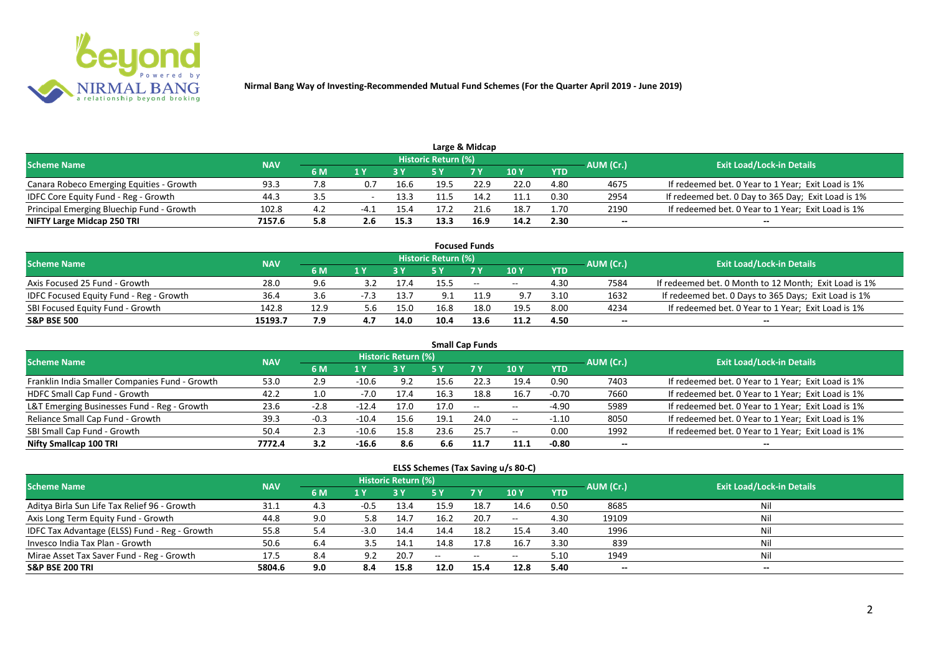

|                                           |            |     |     |      |                            | Large & Midcap |      |            |           |                                                    |
|-------------------------------------------|------------|-----|-----|------|----------------------------|----------------|------|------------|-----------|----------------------------------------------------|
| <b>Scheme Name</b>                        | <b>NAV</b> |     |     |      | <b>Historic Return (%)</b> |                |      |            | AUM (Cr.) | <b>Exit Load/Lock-in Details</b>                   |
|                                           |            | 6 M |     |      |                            | <b>7 V</b>     | 10 Y | <b>YTD</b> |           |                                                    |
| Canara Robeco Emerging Equities - Growth  | 93.3       | 7.8 | 0.7 | 16.6 | 19.5                       | 22.9           | 22.0 | 4.80       | 4675      | If redeemed bet. 0 Year to 1 Year; Exit Load is 1% |
| IDFC Core Equity Fund - Reg - Growth      | دُ.44      |     |     | 13.3 |                            | 14.2           | 11.1 | 0.30       | 2954      | If redeemed bet. 0 Day to 365 Day; Exit Load is 1% |
| Principal Emerging Bluechip Fund - Growth | 102.8      | 4.2 | -4  | 15.4 | 17 2                       | 21.6           | 18.7 | 1.70       | 2190      | If redeemed bet. 0 Year to 1 Year; Exit Load is 1% |
| NIFTY Large Midcap 250 TRI                | 7157.6     | 5.8 | 2.6 | 15.3 | 13.3                       | 16.9           | 14.2 | 2.30       | --        | $- -$                                              |

| <b>Focused Funds</b>                           |            |      |        |      |                     |        |            |            |           |                                                       |  |  |  |  |
|------------------------------------------------|------------|------|--------|------|---------------------|--------|------------|------------|-----------|-------------------------------------------------------|--|--|--|--|
| <b>Scheme Name</b>                             | <b>NAV</b> |      |        |      | Historic Return (%) |        |            |            | AUM (Cr.) | <b>Exit Load/Lock-in Details</b>                      |  |  |  |  |
|                                                |            | 6 M  | 1 V    |      |                     | 7 Y    | 10Y        | <b>YTD</b> |           |                                                       |  |  |  |  |
| Axis Focused 25 Fund - Growth                  | 28.0       | 9.6  |        | 17.4 | 15.5                | $\sim$ | $\sim$ $-$ | 4.30       | 7584      | If redeemed bet. 0 Month to 12 Month; Exit Load is 1% |  |  |  |  |
| <b>IDFC Focused Equity Fund - Reg - Growth</b> | 36.4       | 3.6  | $-7.3$ | 13.7 | 9.1                 |        | 9.7        | 3.10       | 1632      | If redeemed bet. 0 Days to 365 Days; Exit Load is 1%  |  |  |  |  |
| SBI Focused Equity Fund - Growth               | 142.8      | 12.9 | 5.6    | 15.0 | 16.8                | 18.0   | 19.5       | 8.00       | 4234      | If redeemed bet. 0 Year to 1 Year; Exit Load is 1%    |  |  |  |  |
| <b>S&amp;P BSE 500</b>                         | 15193.7    | 7.9  |        | 14.0 | 10.4                | 13.6   | 11.2       | 4.50       | --        | --                                                    |  |  |  |  |

| <b>Small Cap Funds</b>                         |            |        |         |                     |      |           |            |            |           |                                                    |  |  |  |
|------------------------------------------------|------------|--------|---------|---------------------|------|-----------|------------|------------|-----------|----------------------------------------------------|--|--|--|
| <b>Scheme Name</b>                             | <b>NAV</b> |        |         | Historic Return (%) |      |           |            |            | AUM (Cr.) | <b>Exit Load/Lock-in Details</b>                   |  |  |  |
|                                                |            | 6 M    | 1 Y     |                     | 5 Y  | <b>7Y</b> | 10Y        | <b>YTD</b> |           |                                                    |  |  |  |
| Franklin India Smaller Companies Fund - Growth | 53.0       | 2.9    | $-10.6$ | 9.2                 | 15.6 | 22.3      | 19.4       | 0.90       | 7403      | If redeemed bet. 0 Year to 1 Year; Exit Load is 1% |  |  |  |
| HDFC Small Cap Fund - Growth                   | 42.2       | 1.0    | $-7.0$  | 17.4                | 16.3 | 18.8      | 16.7       | $-0.70$    | 7660      | If redeemed bet. 0 Year to 1 Year; Exit Load is 1% |  |  |  |
| L&T Emerging Businesses Fund - Reg - Growth    | 23.6       | $-2.8$ | $-12.4$ | 17.0                | 17.0 | $\sim$    | $\sim$ $-$ | $-4.90$    | 5989      | If redeemed bet. 0 Year to 1 Year; Exit Load is 1% |  |  |  |
| Reliance Small Cap Fund - Growth               | 39.3       | $-0.3$ | $-10.4$ | 15.6                | 19.1 | 24.0      | $\sim$ $-$ | $-1.10$    | 8050      | If redeemed bet. 0 Year to 1 Year; Exit Load is 1% |  |  |  |
| SBI Small Cap Fund - Growth                    | 50.4       | 2.3    | $-10.6$ | 15.8                | 23.6 | 25.7      | $- -$      | 0.00       | 1992      | If redeemed bet. 0 Year to 1 Year; Exit Load is 1% |  |  |  |
| Nifty Smallcap 100 TRI                         | 7772.4     | 3.2    | $-16.6$ | 8.6                 | 6.6  | 11.7      | 11.1       | $-0.80$    | $- -$     | --                                                 |  |  |  |

#### **ELSS Schemes (Tax Saving u/s 80-C)**

| Scheme Name                                   | <b>NAV</b> |     |        | <b>Historic Return (%)</b> |       |            |                 |            | AUM (Cr.)                | <b>Exit Load/Lock-in Details</b> |
|-----------------------------------------------|------------|-----|--------|----------------------------|-------|------------|-----------------|------------|--------------------------|----------------------------------|
|                                               |            | 6 M | 1 Y    |                            | 5 Y   | <b>7 Y</b> | 10 <sub>Y</sub> | <b>YTD</b> |                          |                                  |
| Aditya Birla Sun Life Tax Relief 96 - Growth  | 31.1       | 4.3 | $-0.5$ | 13.4                       | 15.9  | 18.7       | 14.6            | 0.50       | 8685                     | Nil                              |
| Axis Long Term Equity Fund - Growth           | 44.8       | 9.0 | 5.8    | 14.7                       | 16.2  | 20.7       | $- -$           | 4.30       | 19109                    | Nil                              |
| IDFC Tax Advantage (ELSS) Fund - Reg - Growth | 55.8       | 5.4 | $-3.0$ | 14.4                       | 14.4  | 18.2       | 15.4            | 3.40       | 1996                     | Nil                              |
| Invesco India Tax Plan - Growth               | 50.6       | 6.4 |        | 14.1                       | 14.8  | 17.8       | 16.7            | 3.30       | 839                      | Nil                              |
| Mirae Asset Tax Saver Fund - Reg - Growth     | 17.5       | 8.4 | 9.2    | 20.7                       | $- -$ | $ -$       | $- -$           | 5.10       | 1949                     | Nil                              |
| <b>S&amp;P BSE 200 TRI</b>                    | 5804.6     | 9.0 | 8.4    | 15.8                       | 12.0  | 15.4       | 12.8            | 5.40       | $\overline{\phantom{a}}$ | $- -$                            |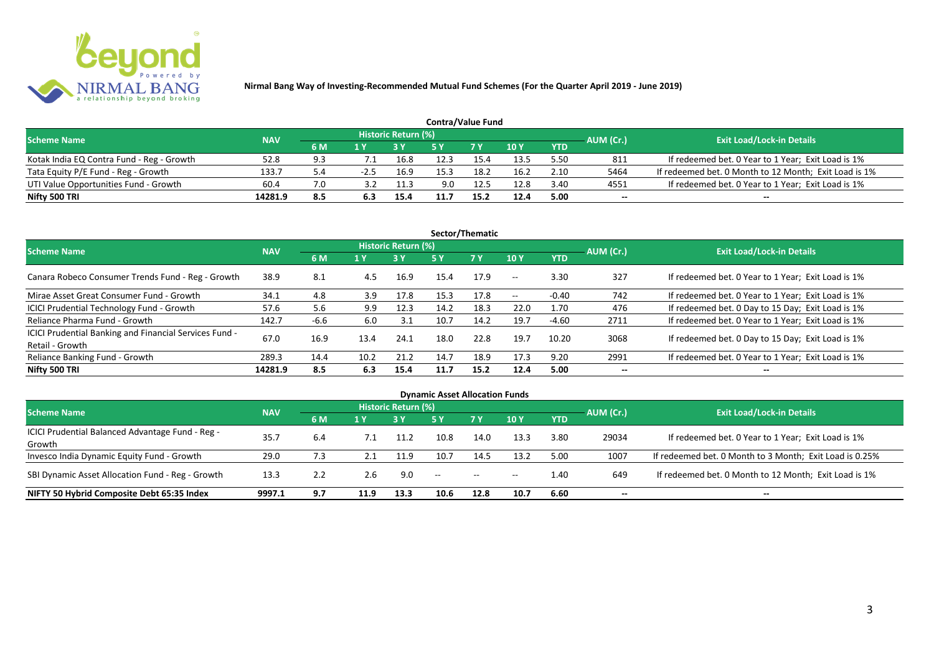

| <b>Contra/Value Fund</b>                  |            |     |  |                            |      |            |      |            |           |                                                       |  |  |  |  |
|-------------------------------------------|------------|-----|--|----------------------------|------|------------|------|------------|-----------|-------------------------------------------------------|--|--|--|--|
| <b>Scheme Name</b>                        | <b>NAV</b> |     |  | <b>Historic Return (%)</b> |      |            |      |            | AUM (Cr.) | <b>Exit Load/Lock-in Details</b>                      |  |  |  |  |
|                                           |            | 6 M |  |                            |      | <b>7 Y</b> | 10Y  | <b>YTD</b> |           |                                                       |  |  |  |  |
| Kotak India EQ Contra Fund - Reg - Growth | 52.8       |     |  | 16.8                       | 12.3 | 15.4       | 13.5 | 5.50       | 811       | If redeemed bet. 0 Year to 1 Year; Exit Load is 1%    |  |  |  |  |
| Tata Equity P/E Fund - Reg - Growth       | 133.7      | 5.4 |  | 16.9                       | 15.3 | 18.2       | 16.2 | 2.10       | 5464      | If redeemed bet. 0 Month to 12 Month; Exit Load is 1% |  |  |  |  |
| UTI Value Opportunities Fund - Growth     | 60.4       | 7.0 |  | 11.3                       | 9.0  | 12.5       | 12.8 | 3.40       | 4551      | If redeemed bet. 0 Year to 1 Year; Exit Load is 1%    |  |  |  |  |
| Nifty 500 TRI                             | 14281.9    | 8.5 |  | 15.4                       |      | 15.2       | 12.4 | 5.00       | --        | $- -$                                                 |  |  |  |  |

| Sector/Thematic                                                           |            |        |      |                            |      |           |                          |            |           |                                                    |  |  |  |
|---------------------------------------------------------------------------|------------|--------|------|----------------------------|------|-----------|--------------------------|------------|-----------|----------------------------------------------------|--|--|--|
| <b>Scheme Name</b>                                                        | <b>NAV</b> |        |      | <b>Historic Return (%)</b> |      |           |                          |            | AUM (Cr.) | <b>Exit Load/Lock-in Details</b>                   |  |  |  |
|                                                                           |            | 6 M    | 1 Y  | <b>3 Y</b>                 | 5 Y  | <b>7Y</b> | <b>10Y</b>               | <b>YTD</b> |           |                                                    |  |  |  |
| Canara Robeco Consumer Trends Fund - Reg - Growth                         | 38.9       | 8.1    | 4.5  | 16.9                       | 15.4 | 17.9      | $\sim$ $\sim$            | 3.30       | 327       | If redeemed bet. 0 Year to 1 Year; Exit Load is 1% |  |  |  |
| Mirae Asset Great Consumer Fund - Growth                                  | 34.1       | 4.8    | 3.9  | 17.8                       | 15.3 | 17.8      | $\overline{\phantom{a}}$ | $-0.40$    | 742       | If redeemed bet. 0 Year to 1 Year; Exit Load is 1% |  |  |  |
| <b>ICICI Prudential Technology Fund - Growth</b>                          | 57.6       | 5.6    | 9.9  | 12.3                       | 14.2 | 18.3      | 22.0                     | 1.70       | 476       | If redeemed bet. 0 Day to 15 Day; Exit Load is 1%  |  |  |  |
| Reliance Pharma Fund - Growth                                             | 142.7      | $-6.6$ | 6.0  | 3.1                        | 10.7 | 14.2      | 19.7                     | $-4.60$    | 2711      | If redeemed bet. 0 Year to 1 Year; Exit Load is 1% |  |  |  |
| ICICI Prudential Banking and Financial Services Fund -<br>Retail - Growth | 67.0       | 16.9   | 13.4 | 24.1                       | 18.0 | 22.8      | 19.7                     | 10.20      | 3068      | If redeemed bet. 0 Day to 15 Day; Exit Load is 1%  |  |  |  |
| Reliance Banking Fund - Growth                                            | 289.3      | 14.4   | 10.2 | 21.2                       | 14.7 | 18.9      | 17.3                     | 9.20       | 2991      | If redeemed bet. 0 Year to 1 Year; Exit Load is 1% |  |  |  |
| Nifty 500 TRI                                                             | 14281.9    | 8.5    | 6.3  | 15.4                       | 11.7 | 15.2      | 12.4                     | 5.00       | $- -$     | $\overline{\phantom{a}}$                           |  |  |  |

| <b>Dynamic Asset Allocation Funds</b>            |            |     |      |                            |                                                |           |            |            |                          |                                                         |  |  |  |
|--------------------------------------------------|------------|-----|------|----------------------------|------------------------------------------------|-----------|------------|------------|--------------------------|---------------------------------------------------------|--|--|--|
| <b>Scheme Name</b>                               | <b>NAV</b> |     |      | <b>Historic Return (%)</b> |                                                |           |            |            |                          | <b>Exit Load/Lock-in Details</b>                        |  |  |  |
|                                                  |            | 6 M | 1 Y  |                            | <b>5 Y</b>                                     | <b>7Y</b> | <b>10Y</b> | <b>YTD</b> | AUM (Cr.)                |                                                         |  |  |  |
| ICICI Prudential Balanced Advantage Fund - Reg - | 35.7       | 6.4 |      | 11.2                       | 10.8                                           | 14.0      | 13.3       | 3.80       | 29034                    | If redeemed bet. 0 Year to 1 Year; Exit Load is 1%      |  |  |  |
| Growth                                           |            |     |      |                            |                                                |           |            |            |                          |                                                         |  |  |  |
| Invesco India Dynamic Equity Fund - Growth       | 29.0       | 7.3 |      | 11.9                       | 10.7                                           | 14.5      | 13.2       | 5.00       | 1007                     | If redeemed bet. 0 Month to 3 Month; Exit Load is 0.25% |  |  |  |
| SBI Dynamic Asset Allocation Fund - Reg - Growth | 13.3       | 2.2 | 2.6  | 9.0                        | $\hspace{0.1mm}-\hspace{0.1mm}-\hspace{0.1mm}$ | $\sim$    | $--$       | 1.40       | 649                      | If redeemed bet. 0 Month to 12 Month; Exit Load is 1%   |  |  |  |
| NIFTY 50 Hybrid Composite Debt 65:35 Index       | 9997.1     | 9.7 | 11.9 | 13.3                       | 10.6                                           | 12.8      | 10.7       | 6.60       | $\overline{\phantom{a}}$ | $- -$                                                   |  |  |  |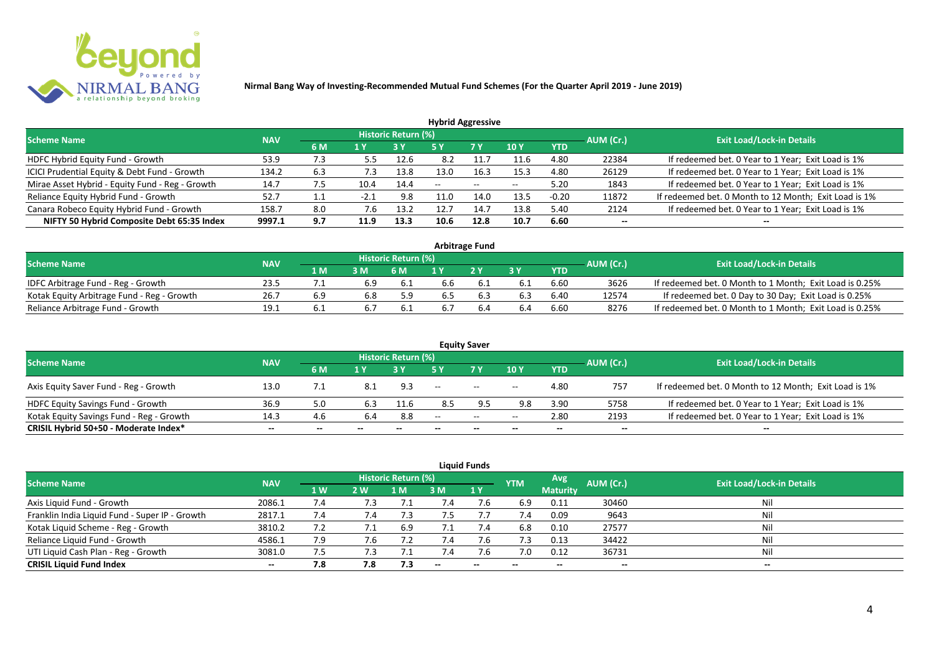

| <b>Hybrid Aggressive</b>                        |            |     |        |                            |      |       |                 |            |           |                                                       |  |  |  |  |
|-------------------------------------------------|------------|-----|--------|----------------------------|------|-------|-----------------|------------|-----------|-------------------------------------------------------|--|--|--|--|
| <b>Scheme Name</b>                              | <b>NAV</b> |     |        | <b>Historic Return (%)</b> |      |       |                 |            | AUM (Cr.) | <b>Exit Load/Lock-in Details</b>                      |  |  |  |  |
|                                                 |            | 6 M | 1 Y    |                            | 5 Y  | 7 Y   | 10 <sub>Y</sub> | <b>YTD</b> |           |                                                       |  |  |  |  |
| HDFC Hybrid Equity Fund - Growth                | 53.9       | 7.3 | 5.5    | 12.6                       | 8.2  |       | 11.6            | 4.80       | 22384     | If redeemed bet. 0 Year to 1 Year; Exit Load is 1%    |  |  |  |  |
| ICICI Prudential Equity & Debt Fund - Growth    | 134.2      | 6.3 | 7.3    | 13.8                       | 13.0 | 16.3  | 15.3            | 4.80       | 26129     | If redeemed bet. 0 Year to 1 Year; Exit Load is 1%    |  |  |  |  |
| Mirae Asset Hybrid - Equity Fund - Reg - Growth | 14.7       | 7.5 | 10.4   | 14.4                       | --   | $- -$ | $-$             | 5.20       | 1843      | If redeemed bet. 0 Year to 1 Year; Exit Load is 1%    |  |  |  |  |
| Reliance Equity Hybrid Fund - Growth            | 52.7       |     | $-2.1$ | 9.8                        | 11.0 | 14.0  | 13.5            | $-0.20$    | 11872     | If redeemed bet. 0 Month to 12 Month; Exit Load is 1% |  |  |  |  |
| Canara Robeco Equity Hybrid Fund - Growth       | 158.7      | 8.0 | 7.6    | 13.2                       | 12.7 | 14.7  | 13.8            | 5.40       | 2124      | If redeemed bet. 0 Year to 1 Year; Exit Load is 1%    |  |  |  |  |
| NIFTY 50 Hybrid Composite Debt 65:35 Index      | 9997.1     | 9.7 | 11.9   | 13.3                       | 10.6 | 12.8  | 10.7            | 6.60       | $- -$     |                                                       |  |  |  |  |
|                                                 |            |     |        |                            |      |       |                 |            |           |                                                       |  |  |  |  |

| <b>Arbitrage Fund</b>                      |            |      |     |                     |     |     |     |            |           |                                                         |  |  |  |  |
|--------------------------------------------|------------|------|-----|---------------------|-----|-----|-----|------------|-----------|---------------------------------------------------------|--|--|--|--|
| <b>Scheme Name</b>                         | <b>NAV</b> |      |     | Historic Return (%) |     |     |     |            | AUM (Cr.) | <b>Exit Load/Lock-in Details</b>                        |  |  |  |  |
|                                            |            | 4 M  | 3M  | 6 M                 |     | 2V  |     | <b>YTD</b> |           |                                                         |  |  |  |  |
| IDFC Arbitrage Fund - Reg - Growth         | 23.5       |      | 6.9 | -6.1                | 6.6 |     |     | 6.60       | 3626      | If redeemed bet. 0 Month to 1 Month; Exit Load is 0.25% |  |  |  |  |
| Kotak Equity Arbitrage Fund - Reg - Growth | 26.7       | 6.9  | 6.8 | 5.9                 | 6.5 | b.3 | 6.3 | 6.40       | 12574     | If redeemed bet. 0 Day to 30 Day; Exit Load is 0.25%    |  |  |  |  |
| Reliance Arbitrage Fund - Growth           | 19.1       | b. 1 |     | 6.1                 |     |     |     | 6.60       | 8276      | If redeemed bet. 0 Month to 1 Month; Exit Load is 0.25% |  |  |  |  |

|                                          |            |     |       |                     |                          | <b>Equity Saver</b>      |       |            |           |                                                       |
|------------------------------------------|------------|-----|-------|---------------------|--------------------------|--------------------------|-------|------------|-----------|-------------------------------------------------------|
| <b>Scheme Name</b>                       | <b>NAV</b> |     |       | Historic Return (%) |                          |                          |       |            | AUM (Cr.) | <b>Exit Load/Lock-in Details</b>                      |
|                                          |            | 6 M | 1 V   |                     |                          | 7 Y.                     | 10Y   | <b>YTD</b> |           |                                                       |
| Axis Equity Saver Fund - Reg - Growth    | 13.0       | 7.1 |       | 9.3                 | $\overline{\phantom{a}}$ | $\sim$                   | $- -$ | 4.80       | 757       | If redeemed bet. 0 Month to 12 Month; Exit Load is 1% |
| HDFC Equity Savings Fund - Growth        | 36.9       | 5.0 | 6.3   | 11.6                | 8.5                      |                          | 9.8   | 3.90       | 5758      | If redeemed bet. 0 Year to 1 Year; Exit Load is 1%    |
| Kotak Equity Savings Fund - Reg - Growth | 14.3       | 4.6 | 6.4   | 8.8                 | $- -$                    | $  \,$                   | $- -$ | 2.80       | 2193      | If redeemed bet. 0 Year to 1 Year; Exit Load is 1%    |
| CRISIL Hybrid 50+50 - Moderate Index*    | $- -$      | --  | $- -$ | $- -$               | --                       | $\overline{\phantom{a}}$ | $- -$ | $- -$      | $-$       | $- -$                                                 |

| <b>Liquid Funds</b>                            |            |           |     |                     |                          |              |                          |                          |           |                                  |  |  |  |  |
|------------------------------------------------|------------|-----------|-----|---------------------|--------------------------|--------------|--------------------------|--------------------------|-----------|----------------------------------|--|--|--|--|
| <b>Scheme Name</b>                             | <b>NAV</b> |           |     | Historic Return (%) |                          |              | <b>YTM</b>               | <b>Avg</b>               | AUM (Cr.) | <b>Exit Load/Lock-in Details</b> |  |  |  |  |
|                                                |            | <b>1W</b> | 2 W | 1 M                 | ЗM                       | $\sqrt{1}$ Y |                          | <b>Maturity</b>          |           |                                  |  |  |  |  |
| Axis Liquid Fund - Growth                      | 2086.1     | 7.4       | 7.3 |                     |                          |              | 6.9                      | 0.11                     | 30460     | Nil                              |  |  |  |  |
| Franklin India Liquid Fund - Super IP - Growth | 2817.1     | 7.4       | 7.4 |                     |                          |              | 7.4                      | 0.09                     | 9643      | Nil                              |  |  |  |  |
| Kotak Liquid Scheme - Reg - Growth             | 3810.2     | 7.2       | 7.1 | 6.9                 | 7.1                      | 7.4          | 6.8                      | 0.10                     | 27577     | Nil                              |  |  |  |  |
| Reliance Liquid Fund - Growth                  | 4586.1     | 7.9       | 7.6 |                     | 7.4                      | 7.6          | 7.3                      | 0.13                     | 34422     | Nil                              |  |  |  |  |
| UTI Liquid Cash Plan - Reg - Growth            | 3081.0     | 7.5       | ΄.3 |                     |                          | 7.b          | 7.0                      | 0.12                     | 36731     | Nil                              |  |  |  |  |
| <b>CRISIL Liquid Fund Index</b>                | $- -$      | 7.8       | 7.8 | 7.3                 | $\overline{\phantom{a}}$ | $\sim$       | $\overline{\phantom{a}}$ | $\overline{\phantom{a}}$ | --        | $\overline{\phantom{a}}$         |  |  |  |  |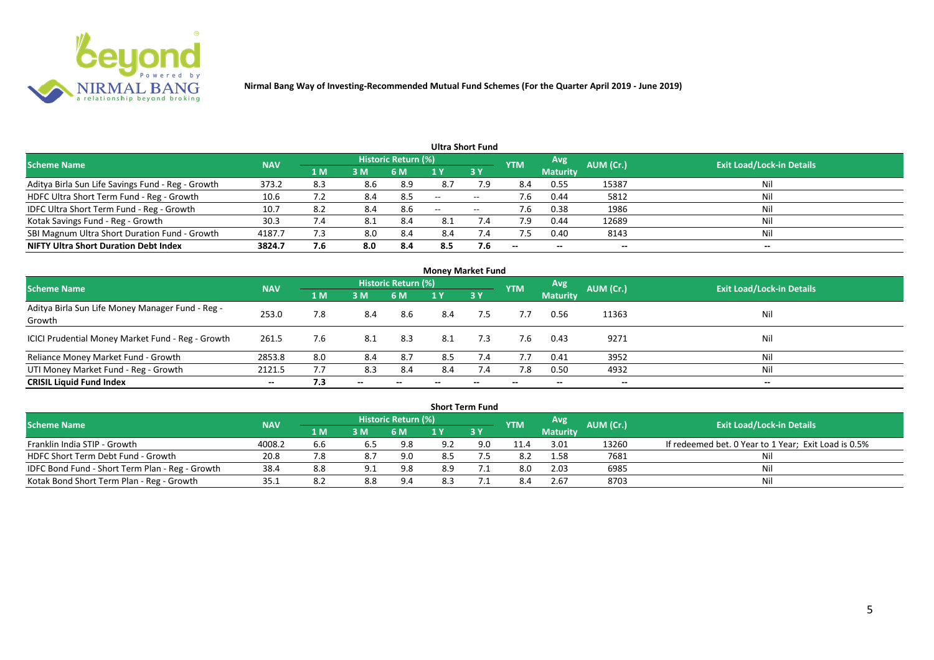

|                                                   |            |                |     |                            |                          | <b>Ultra Short Fund</b>  |            |                          |           |                                  |
|---------------------------------------------------|------------|----------------|-----|----------------------------|--------------------------|--------------------------|------------|--------------------------|-----------|----------------------------------|
| <b>Scheme Name</b>                                | <b>NAV</b> |                |     | <b>Historic Return (%)</b> |                          |                          | <b>YTM</b> | Avg                      | AUM (Cr.) | <b>Exit Load/Lock-in Details</b> |
|                                                   |            | 1 <sub>M</sub> | 3M  | 6 M                        |                          | 3Y                       |            | <b>Maturity</b>          |           |                                  |
| Aditya Birla Sun Life Savings Fund - Reg - Growth | 373.2      | 8.3            | 8.6 | 8.9                        | 8.7                      | 7.9                      | 8.4        | 0.55                     | 15387     | Nil                              |
| HDFC Ultra Short Term Fund - Reg - Growth         | 10.6       |                | 8.4 | 8.5                        | $\overline{\phantom{a}}$ | $\overline{\phantom{a}}$ | 7.6        | 0.44                     | 5812      | Nil                              |
| IDFC Ultra Short Term Fund - Reg - Growth         | 10.7       | 8.2            | 8.4 | 8.6                        | $\overline{\phantom{a}}$ | $- -$                    | 7.6        | 0.38                     | 1986      | Nil                              |
| Kotak Savings Fund - Reg - Growth                 | 30.3       | 7.4            | 8.1 | 8.4                        | 8.1                      | 7.4                      | 7.9        | 0.44                     | 12689     | Nil                              |
| SBI Magnum Ultra Short Duration Fund - Growth     | 4187.7     | 7.3            | 8.0 | 8.4                        | 8.4                      | $\sqrt{.4}$              | 7.5        | 0.40                     | 8143      | Nil                              |
| <b>NIFTY Ultra Short Duration Debt Index</b>      | 3824.7     | 7.6            | 8.0 | -8.4                       | 8.5                      | 7.6                      | $- -$      | $\overline{\phantom{a}}$ | --        | $- -$                            |

| <b>Money Market Fund</b>                                   |            |     |                          |                     |     |           |            |                 |                          |                                  |  |  |  |
|------------------------------------------------------------|------------|-----|--------------------------|---------------------|-----|-----------|------------|-----------------|--------------------------|----------------------------------|--|--|--|
| <b>Scheme Name</b>                                         | <b>NAV</b> |     |                          | Historic Return (%) |     |           | <b>YTM</b> | <b>Avg.</b>     | AUM (Cr.)                | <b>Exit Load/Lock-in Details</b> |  |  |  |
|                                                            |            | 1 M | 3M                       | 6 M                 | 1 Y | <b>3Y</b> |            | <b>Maturity</b> |                          |                                  |  |  |  |
| Aditya Birla Sun Life Money Manager Fund - Reg -<br>Growth | 253.0      | 7.8 | 8.4                      | 8.6                 | 8.4 | 7.5       | 7.7        | 0.56            | 11363                    | Nil                              |  |  |  |
| ICICI Prudential Money Market Fund - Reg - Growth          | 261.5      | 7.6 | 8.1                      | 8.3                 | 8.1 | 7.3       | 7.6        | 0.43            | 9271                     | Nil                              |  |  |  |
| Reliance Money Market Fund - Growth                        | 2853.8     | 8.0 | 8.4                      | 8.7                 | 8.5 | 7.4       | 7.7        | 0.41            | 3952                     | Nil                              |  |  |  |
| UTI Money Market Fund - Reg - Growth                       | 2121.5     |     | 8.3                      | 8.4                 | 8.4 | 7.4       | 7.8        | 0.50            | 4932                     | Nil                              |  |  |  |
| <b>CRISIL Liquid Fund Index</b>                            | $- -$      | 7.3 | $\overline{\phantom{a}}$ |                     |     | --        |            | $- -$           | $\overline{\phantom{a}}$ | $- -$                            |  |  |  |

|                                                 |            |             |     |                            |     | <b>Short Term Fund</b> |            |                 |           |                                                      |
|-------------------------------------------------|------------|-------------|-----|----------------------------|-----|------------------------|------------|-----------------|-----------|------------------------------------------------------|
| <b>Scheme Name</b>                              | <b>NAV</b> |             |     | <b>Historic Return (%)</b> |     |                        | <b>YTM</b> | <b>Avg</b>      | AUM (Cr.) | <b>Exit Load/Lock-in Details</b>                     |
|                                                 |            | <b>4 MZ</b> | 3M  | 6 M                        |     | 73 Y                   |            | <b>Maturity</b> |           |                                                      |
| Franklin India STIP - Growth                    | 4008.2     | 6.6         | 6.5 | 9.8                        | 9.2 | 9.0                    | 11.4       | 3.01            | 13260     | If redeemed bet. 0 Year to 1 Year; Exit Load is 0.5% |
| HDFC Short Term Debt Fund - Growth              | 20.8       |             | 8.7 | 9.0                        | 8.5 |                        | 8.2        | 1.58            | 7681      | Ni                                                   |
| IDFC Bond Fund - Short Term Plan - Reg - Growth | 38.4       | 8.8         | 9.1 | 9.8                        | 8.9 |                        | 8.0        | 2.03            | 6985      | Nil                                                  |
| Kotak Bond Short Term Plan - Reg - Growth       | 35.1       | 8.2         | 8.8 | 9.4                        | 8.3 |                        |            | 2.67            | 8703      | Nil                                                  |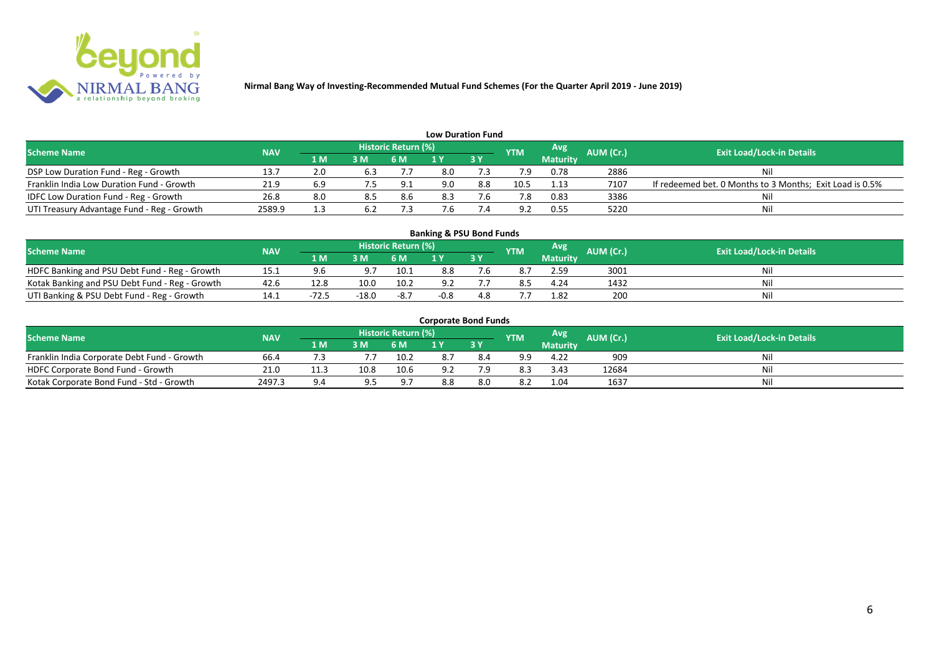

| <b>Low Duration Fund</b>                   |            |     |                |                     |     |      |                |                 |           |                                                          |  |  |  |
|--------------------------------------------|------------|-----|----------------|---------------------|-----|------|----------------|-----------------|-----------|----------------------------------------------------------|--|--|--|
| <b>Scheme Name</b>                         | <b>NAV</b> |     |                | Historic Return (%) |     |      | <b>YTM</b>     | <b>Avg</b>      | AUM (Cr.) | <b>Exit Load/Lock-in Details</b>                         |  |  |  |
|                                            |            | 1 M | 3 <sub>N</sub> | 6 M                 |     | 73 Y |                | <b>Maturity</b> |           |                                                          |  |  |  |
| DSP Low Duration Fund - Reg - Growth       | 13.7       | 2.0 | 6.3            |                     | 8.0 |      |                | 0.78            | 2886      | Nil                                                      |  |  |  |
| Franklin India Low Duration Fund - Growth  | 21.9       | 6.9 |                | 9.1                 | 9.0 | 8.8  | 10.5           | 1.13            | 7107      | If redeemed bet. 0 Months to 3 Months; Exit Load is 0.5% |  |  |  |
| IDFC Low Duration Fund - Reg - Growth      | 26.8       |     | 8.5            | 8.6                 |     |      |                | 0.83            | 3386      | Nil                                                      |  |  |  |
| UTI Treasury Advantage Fund - Reg - Growth | 2589.9     |     |                |                     |     |      | Q <sub>2</sub> | 0.55            | 5220      | Nil                                                      |  |  |  |

# **Banking & PSU Bond Funds**

| <b>Scheme Name</b>                             | <b>NAV</b> |      |       | ا Historic Return (%) ا |     |      | <b>YTM</b> | Avg             | <b>AUM (Cr.)</b> | <b>Exit Load/Lock-in Details</b> |
|------------------------------------------------|------------|------|-------|-------------------------|-----|------|------------|-----------------|------------------|----------------------------------|
|                                                |            |      | з м   | 6 M                     |     | 73 Y |            | <b>Maturity</b> |                  |                                  |
| HDFC Banking and PSU Debt Fund - Reg - Growth  | 15.1       |      |       | 10.1                    | 8.8 |      |            | 2.59            | 3001             |                                  |
| Kotak Banking and PSU Debt Fund - Reg - Growth | 42.6       | 12.8 | 10.0  | 10.2                    |     |      |            | 4.24            | 1432             | Ni                               |
| UTI Banking & PSU Debt Fund - Reg - Growth     |            |      | -18.0 | -8.7                    |     |      |            | 1.82            | 200              |                                  |

#### **Corporate Bond Funds**

| <b>Scheme Name</b>                          | <b>NAV</b> |      |      | Historic Return (%) |     |     | <b>YTM</b> | Avg             | AUM (Cr.) | <b>Exit Load/Lock-in Details</b> |
|---------------------------------------------|------------|------|------|---------------------|-----|-----|------------|-----------------|-----------|----------------------------------|
|                                             |            | 1 M' | в мі | 6 M                 |     | 3Y  |            | <b>Maturity</b> |           |                                  |
| Franklin India Corporate Debt Fund - Growth | 66.4       |      |      | 10.2                |     | 8.4 | 9.9        | 4.22            | 909       |                                  |
| HDFC Corporate Bond Fund - Growth           | 21.0       |      | 10.8 | 10.6                |     |     | 8.3        | 3.43            | 12684     | Mil                              |
| Kotak Corporate Bond Fund - Std - Growth    | 2497.3     |      |      | a -                 | 3.X | 8.C | -8.2       | 1.04            | 1637      | Ni                               |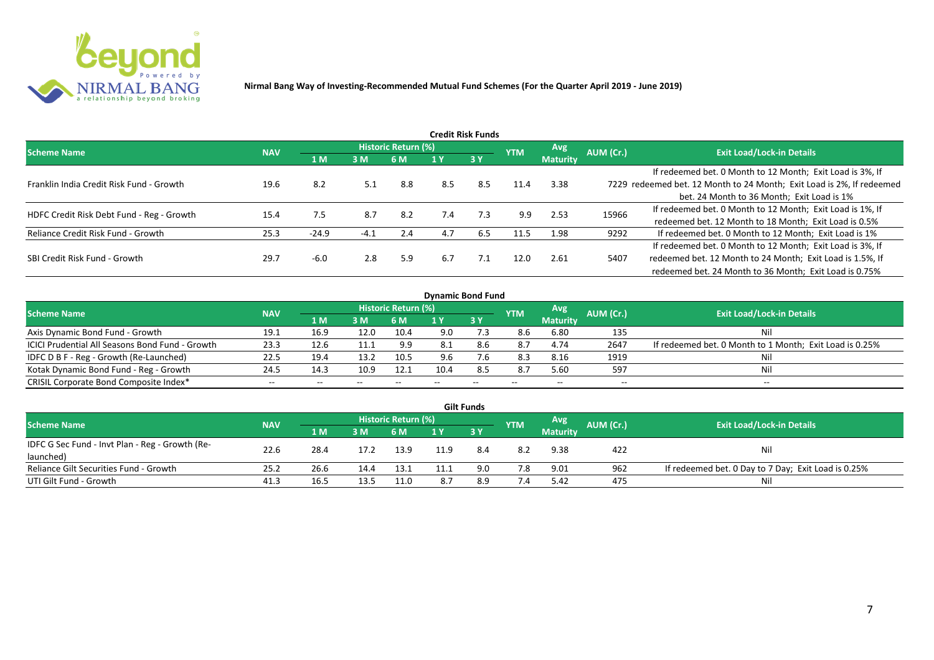

| Credit Risk Funds                         |            |         |        |                            |     |           |            |                 |           |                                                                       |  |  |  |
|-------------------------------------------|------------|---------|--------|----------------------------|-----|-----------|------------|-----------------|-----------|-----------------------------------------------------------------------|--|--|--|
| <b>Scheme Name</b>                        | <b>NAV</b> |         |        | <b>Historic Return (%)</b> |     |           | <b>YTM</b> | <b>Avg</b>      | AUM (Cr.) | <b>Exit Load/Lock-in Details</b>                                      |  |  |  |
|                                           |            | 1 M     | 3M     | 6 M                        |     | <b>3Y</b> |            | <b>Maturity</b> |           |                                                                       |  |  |  |
|                                           |            |         |        |                            |     |           |            |                 |           | If redeemed bet. 0 Month to 12 Month; Exit Load is 3%, If             |  |  |  |
| Franklin India Credit Risk Fund - Growth  | 19.6       | 8.2     | 5.1    | 8.8                        | 8.5 | 8.5       | 11.4       | 3.38            |           | 7229 redeemed bet. 12 Month to 24 Month; Exit Load is 2%, If redeemed |  |  |  |
|                                           |            |         |        |                            |     |           |            |                 |           | bet. 24 Month to 36 Month; Exit Load is 1%                            |  |  |  |
| HDFC Credit Risk Debt Fund - Reg - Growth | 15.4       | 7.5     | 8.7    | 8.2                        | 7.4 | 7.3       | 9.9        | 2.53            | 15966     | If redeemed bet. 0 Month to 12 Month; Exit Load is 1%, If             |  |  |  |
|                                           |            |         |        |                            |     |           |            |                 |           | redeemed bet. 12 Month to 18 Month; Exit Load is 0.5%                 |  |  |  |
| Reliance Credit Risk Fund - Growth        | 25.3       | $-24.9$ | $-4.1$ | 2.4                        | 4.7 | 6.5       | 11.5       | 1.98            | 9292      | If redeemed bet. 0 Month to 12 Month; Exit Load is 1%                 |  |  |  |
|                                           |            |         |        |                            |     |           |            |                 |           | If redeemed bet. 0 Month to 12 Month; Exit Load is 3%, If             |  |  |  |
| SBI Credit Risk Fund - Growth             | 29.7       | -6.0    | 2.8    | 5.9                        | 6.7 | 7.1       | 12.0       | 2.61            | 5407      | redeemed bet. 12 Month to 24 Month; Exit Load is 1.5%, If             |  |  |  |
|                                           |            |         |        |                            |     |           |            |                 |           | redeemed bet. 24 Month to 36 Month; Exit Load is 0.75%                |  |  |  |

| <b>Dynamic Bond Fund</b>                        |            |      |       |                            |      |       |            |                 |           |                                                         |  |  |  |  |
|-------------------------------------------------|------------|------|-------|----------------------------|------|-------|------------|-----------------|-----------|---------------------------------------------------------|--|--|--|--|
| <b>Scheme Name</b>                              | <b>NAV</b> |      |       | <b>Historic Return (%)</b> |      |       | <b>YTM</b> | Avg             | AUM (Cr.) | <b>Exit Load/Lock-in Details</b>                        |  |  |  |  |
|                                                 |            | 1 M  | 3M    | 6 M                        |      | 3Y    |            | <b>Maturity</b> |           |                                                         |  |  |  |  |
| Axis Dynamic Bond Fund - Growth                 | 19.1       | 16.9 | 12.0  | 10.4                       | 9.0  |       | 8.6        | 6.80            | 135       | Nil                                                     |  |  |  |  |
| ICICI Prudential All Seasons Bond Fund - Growth | 23.3       | 12.6 | 11.1  | 9.9                        | -8.1 | 8.b   | 8.7        | 4.74            | 2647      | If redeemed bet. 0 Month to 1 Month; Exit Load is 0.25% |  |  |  |  |
| IDFC D B F - Reg - Growth (Re-Launched)         | 22.5       | 19.4 | 13.2  | 10.5                       | 9.6  |       | 8.3        | 8.16            | 1919      | Nil                                                     |  |  |  |  |
| Kotak Dynamic Bond Fund - Reg - Growth          | 24.5       | 14.3 | 10.9  | 12.1                       | 10.4 | 8.5   | 8.7        | 5.60            | 597       | Nil                                                     |  |  |  |  |
| CRISIL Corporate Bond Composite Index*          | $- -$      | --   | $- -$ |                            |      | $- -$ | $- -$      | --              | --        | $- -$                                                   |  |  |  |  |

| <b>Gilt Funds</b>                               |            |      |      |                     |      |      |            |                 |           |                                                     |  |  |  |  |
|-------------------------------------------------|------------|------|------|---------------------|------|------|------------|-----------------|-----------|-----------------------------------------------------|--|--|--|--|
| <b>Scheme Name</b>                              | <b>NAV</b> |      |      | Historic Return (%) |      |      | <b>YTM</b> | Avg             | AUM (Cr.) | <b>Exit Load/Lock-in Details</b>                    |  |  |  |  |
|                                                 |            | 1 M  | 3M   | 6 M.                | 1 Y  | 73 Y |            | <b>Maturity</b> |           |                                                     |  |  |  |  |
| IDFC G Sec Fund - Invt Plan - Reg - Growth (Re- | 22.6       | 28.4 | 17.2 | 13.9                | 11 Q |      | 8.2        | 9.38            | 422       | Nil                                                 |  |  |  |  |
| launched)                                       |            |      |      |                     |      |      |            |                 |           |                                                     |  |  |  |  |
| Reliance Gilt Securities Fund - Growth          | 25.2       | 26.6 | 14.4 | 13.1                |      | 9.0  | 7.8        | 9.01            | 962       | If redeemed bet. 0 Day to 7 Day; Exit Load is 0.25% |  |  |  |  |
| UTI Gilt Fund - Growth                          | 41.3       | 16.5 | 13.5 | 11.0                |      | 8.9  | 7.4        | 5.42            | 475       | Nil                                                 |  |  |  |  |